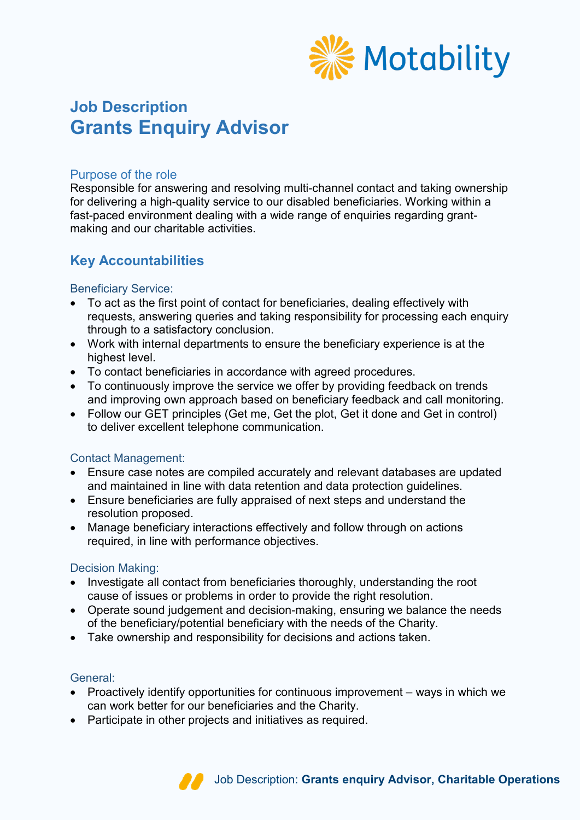

# **Job Description Grants Enquiry Advisor**

# Purpose of the role

Responsible for answering and resolving multi-channel contact and taking ownership for delivering a high-quality service to our disabled beneficiaries. Working within a fast-paced environment dealing with a wide range of enquiries regarding grantmaking and our charitable activities.

# **Key Accountabilities**

# Beneficiary Service:

- To act as the first point of contact for beneficiaries, dealing effectively with requests, answering queries and taking responsibility for processing each enquiry through to a satisfactory conclusion.
- Work with internal departments to ensure the beneficiary experience is at the highest level.
- To contact beneficiaries in accordance with agreed procedures.
- To continuously improve the service we offer by providing feedback on trends and improving own approach based on beneficiary feedback and call monitoring.
- Follow our GET principles (Get me, Get the plot, Get it done and Get in control) to deliver excellent telephone communication.

# Contact Management:

- Ensure case notes are compiled accurately and relevant databases are updated and maintained in line with data retention and data protection guidelines.
- Ensure beneficiaries are fully appraised of next steps and understand the resolution proposed.
- Manage beneficiary interactions effectively and follow through on actions required, in line with performance objectives.

# Decision Making:

- Investigate all contact from beneficiaries thoroughly, understanding the root cause of issues or problems in order to provide the right resolution.
- Operate sound judgement and decision-making, ensuring we balance the needs of the beneficiary/potential beneficiary with the needs of the Charity.
- Take ownership and responsibility for decisions and actions taken.

# General:

- Proactively identify opportunities for continuous improvement ways in which we can work better for our beneficiaries and the Charity.
- Participate in other projects and initiatives as required.

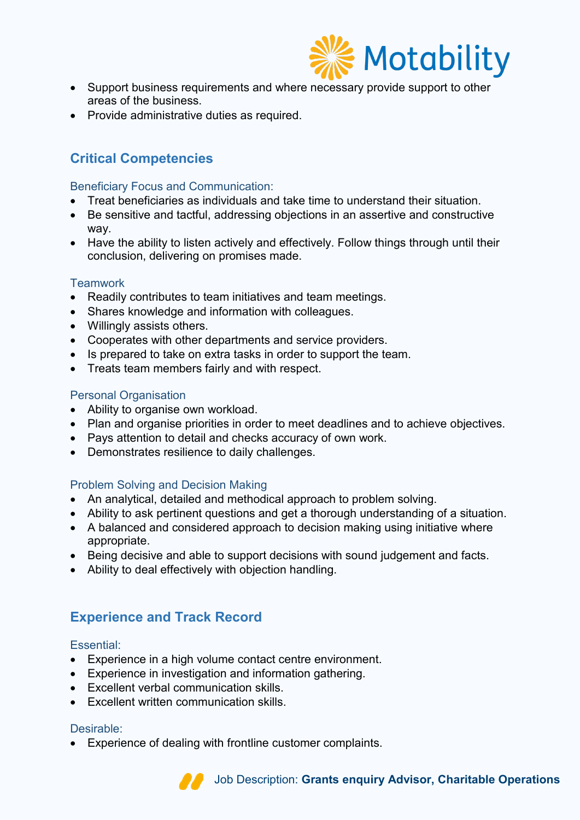

- Support business requirements and where necessary provide support to other areas of the business.
- Provide administrative duties as required.

# **Critical Competencies**

### Beneficiary Focus and Communication:

- Treat beneficiaries as individuals and take time to understand their situation.
- Be sensitive and tactful, addressing objections in an assertive and constructive way.
- Have the ability to listen actively and effectively. Follow things through until their conclusion, delivering on promises made.

### **Teamwork**

- Readily contributes to team initiatives and team meetings.
- Shares knowledge and information with colleagues.
- Willingly assists others.
- Cooperates with other departments and service providers.
- Is prepared to take on extra tasks in order to support the team.
- Treats team members fairly and with respect.

#### Personal Organisation

- Ability to organise own workload.
- Plan and organise priorities in order to meet deadlines and to achieve objectives.
- Pays attention to detail and checks accuracy of own work.
- Demonstrates resilience to daily challenges.

# Problem Solving and Decision Making

- An analytical, detailed and methodical approach to problem solving.
- Ability to ask pertinent questions and get a thorough understanding of a situation.
- A balanced and considered approach to decision making using initiative where appropriate.
- Being decisive and able to support decisions with sound judgement and facts.
- Ability to deal effectively with objection handling.

# **Experience and Track Record**

#### Essential:

- Experience in a high volume contact centre environment.
- Experience in investigation and information gathering.
- Excellent verbal communication skills.
- Excellent written communication skills.

# Desirable:

• Experience of dealing with frontline customer complaints.